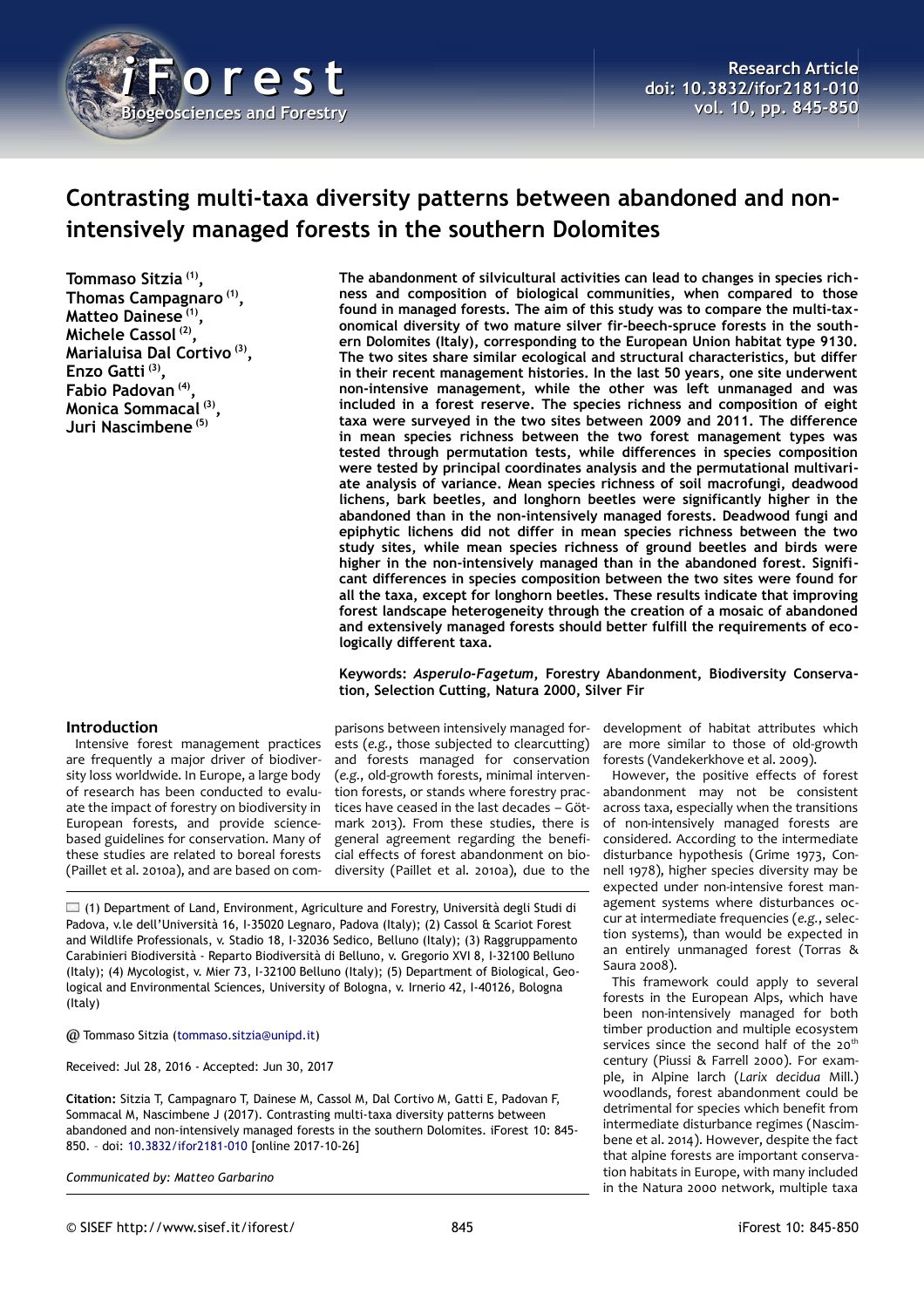

# **Contrasting multi-taxa diversity patterns between abandoned and nonintensively managed forests in the southern Dolomites**

**Tommaso Sitzia (1) , Thomas Campagnaro (1) , Matteo Dainese (1) , Michele Cassol (2) , Marialuisa Dal Cortivo (3) , Enzo Gatti (3) , Fabio Padovan (4) , Monica Sommacal (3) , Juri Nascimbene (5)**

## **Introduction**

Intensive forest management practices are frequently a major driver of biodiversity loss worldwide. In Europe, a large body of research has been conducted to evaluate the impact of forestry on biodiversity in European forests, and provide sciencebased guidelines for conservation. Many of these studies are related to boreal forests (Paillet et al. 2010a), and are based on com**The abandonment of silvicultural activities can lead to changes in species richness and composition of biological communities, when compared to those found in managed forests. The aim of this study was to compare the multi-taxonomical diversity of two mature silver fir-beech-spruce forests in the southern Dolomites (Italy), corresponding to the European Union habitat type 9130. The two sites share similar ecological and structural characteristics, but differ in their recent management histories. In the last 50 years, one site underwent non-intensive management, while the other was left unmanaged and was included in a forest reserve. The species richness and composition of eight taxa were surveyed in the two sites between 2009 and 2011. The difference in mean species richness between the two forest management types was tested through permutation tests, while differences in species composition were tested by principal coordinates analysis and the permutational multivariate analysis of variance. Mean species richness of soil macrofungi, deadwood lichens, bark beetles, and longhorn beetles were significantly higher in the abandoned than in the non-intensively managed forests. Deadwood fungi and epiphytic lichens did not differ in mean species richness between the two study sites, while mean species richness of ground beetles and birds were higher in the non-intensively managed than in the abandoned forest. Significant differences in species composition between the two sites were found for all the taxa, except for longhorn beetles. These results indicate that improving forest landscape heterogeneity through the creation of a mosaic of abandoned and extensively managed forests should better fulfill the requirements of ecologically different taxa.**

### **Keywords:** *Asperulo-Fagetum***, Forestry Abandonment, Biodiversity Conservation, Selection Cutting, Natura 2000, Silver Fir**

parisons between intensively managed forests (*e.g.*, those subjected to clearcutting) and forests managed for conservation (*e.g.*, old-growth forests, minimal intervention forests, or stands where forestry practices have ceased in the last decades – Götmark 2013). From these studies, there is general agreement regarding the beneficial effects of forest abandonment on biodiversity (Paillet et al. 2010a), due to the

 $\Box$  (1) Department of Land, Environment, Agriculture and Forestry, Università degli Studi di Padova, v.le dell'Università 16, I-35020 Legnaro, Padova (Italy); (2) Cassol & Scariot Forest and Wildlife Professionals, v. Stadio 18, I-32036 Sedico, Belluno (Italy); (3) Raggruppamento Carabinieri Biodiversità - Reparto Biodiversità di Belluno, v. Gregorio XVI 8, I-32100 Belluno (Italy); (4) Mycologist, v. Mier 73, I-32100 Belluno (Italy); (5) Department of Biological, Geological and Environmental Sciences, University of Bologna, v. Irnerio 42, I-40126, Bologna (Italy)

@ Tommaso Sitzia [\(tommaso.sitzia@unipd.it\)](mailto:tommaso.sitzia@unipd.it)

Received: Jul 28, 2016 - Accepted: Jun 30, 2017

**Citation:** Sitzia T, Campagnaro T, Dainese M, Cassol M, Dal Cortivo M, Gatti E, Padovan F, Sommacal M, Nascimbene J (2017). Contrasting multi-taxa diversity patterns between abandoned and non-intensively managed forests in the southern Dolomites. iForest 10: 845- 850. – doi: [10.3832/ifor2181-010](http://www.sisef.it/iforest/contents/?id=ifor2181-010) [online 2017-10-26]

*Communicated by: Matteo Garbarino*

development of habitat attributes which are more similar to those of old-growth forests (Vandekerkhove et al. 2009).

However, the positive effects of forest abandonment may not be consistent across taxa, especially when the transitions of non-intensively managed forests are considered. According to the intermediate disturbance hypothesis (Grime 1973, Connell 1978), higher species diversity may be expected under non-intensive forest management systems where disturbances occur at intermediate frequencies (*e.g.*, selection systems), than would be expected in an entirely unmanaged forest (Torras & Saura 2008).

This framework could apply to several forests in the European Alps, which have been non-intensively managed for both timber production and multiple ecosystem services since the second half of the 20<sup>th</sup> century (Piussi & Farrell 2000). For example, in Alpine larch (*Larix decidua* Mill.) woodlands, forest abandonment could be detrimental for species which benefit from intermediate disturbance regimes (Nascimbene et al. 2014). However, despite the fact that alpine forests are important conservation habitats in Europe, with many included in the Natura 2000 network, multiple taxa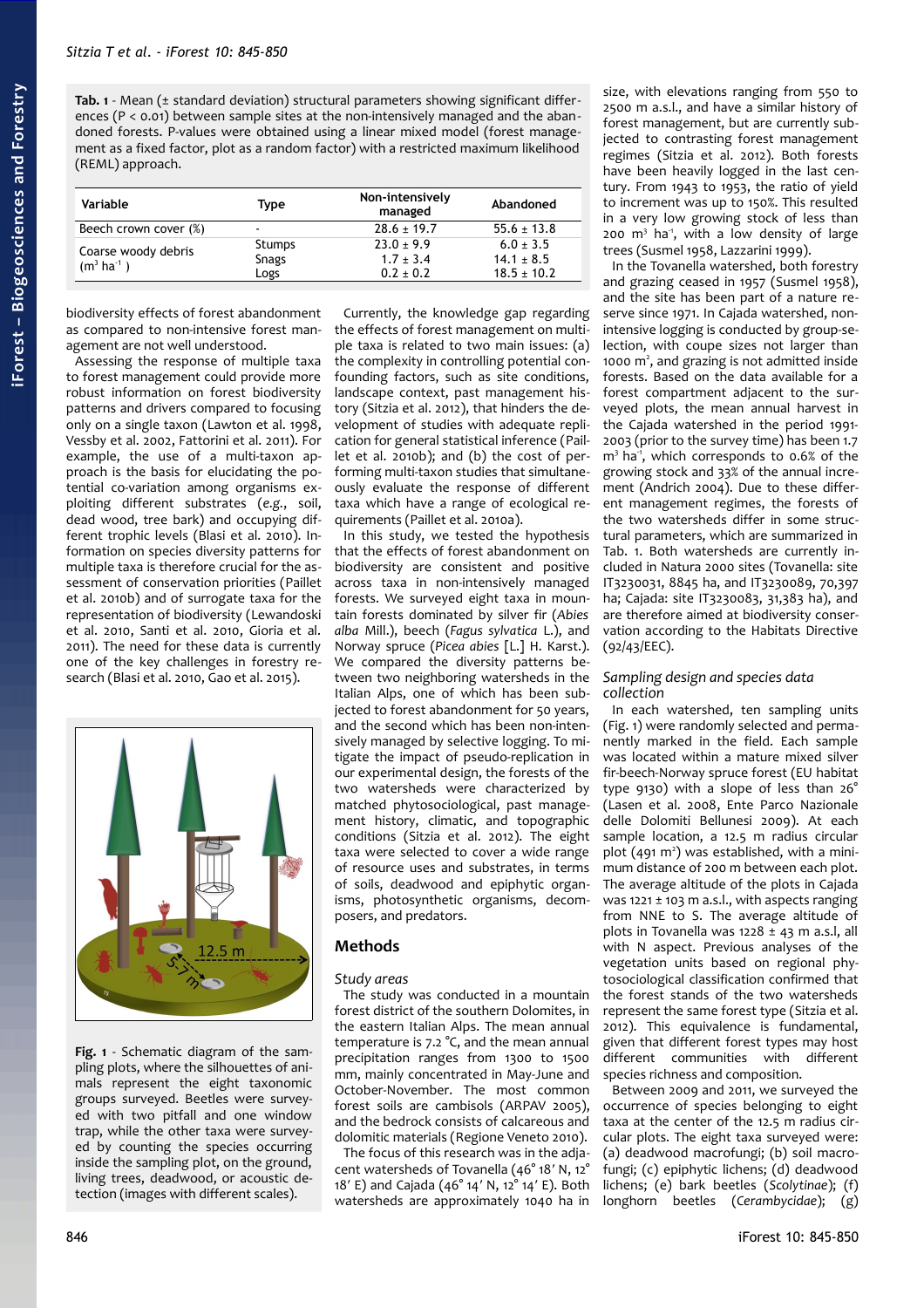<span id="page-1-0"></span>**Tab. 1** - Mean (± standard deviation) structural parameters showing significant differences ( $P < 0.01$ ) between sample sites at the non-intensively managed and the abandoned forests. P-values were obtained using a linear mixed model (forest management as a fixed factor, plot as a random factor) with a restricted maximum likelihood (REML) approach.

| Variable                                    | Type           | Non-intensively<br>managed     | Abandoned                         |
|---------------------------------------------|----------------|--------------------------------|-----------------------------------|
| Beech crown cover (%)                       | $\blacksquare$ | $28.6 \pm 19.7$                | $55.6 \pm 13.8$                   |
| Coarse woody debris<br>$(m^3 \text{ ha}^1)$ | Stumps         | $23.0 \pm 9.9$                 | $6.0 \pm 3.5$                     |
|                                             | Snags<br>Logs  | $1.7 \pm 3.4$<br>$0.2 \pm 0.2$ | $14.1 \pm 8.5$<br>$18.5 \pm 10.2$ |

biodiversity effects of forest abandonment as compared to non-intensive forest management are not well understood.

Assessing the response of multiple taxa to forest management could provide more robust information on forest biodiversity patterns and drivers compared to focusing only on a single taxon (Lawton et al. 1998, Vessby et al. 2002, Fattorini et al. 2011). For example, the use of a multi-taxon approach is the basis for elucidating the potential co-variation among organisms exploiting different substrates (*e.g.*, soil, dead wood, tree bark) and occupying different trophic levels (Blasi et al. 2010). Information on species diversity patterns for multiple taxa is therefore crucial for the assessment of conservation priorities (Paillet et al. 2010b) and of surrogate taxa for the representation of biodiversity (Lewandoski et al. 2010, Santi et al. 2010, Gioria et al. 2011). The need for these data is currently one of the key challenges in forestry research (Blasi et al. 2010, Gao et al. 2015).



<span id="page-1-1"></span>**Fig. 1** - Schematic diagram of the sampling plots, where the silhouettes of animals represent the eight taxonomic groups surveyed. Beetles were surveyed with two pitfall and one window trap, while the other taxa were surveyed by counting the species occurring inside the sampling plot, on the ground, living trees, deadwood, or acoustic detection (images with different scales).

Currently, the knowledge gap regarding the effects of forest management on multiple taxa is related to two main issues: (a) the complexity in controlling potential confounding factors, such as site conditions, landscape context, past management history (Sitzia et al. 2012), that hinders the development of studies with adequate replication for general statistical inference (Paillet et al. 2010b); and (b) the cost of performing multi-taxon studies that simultaneously evaluate the response of different taxa which have a range of ecological requirements (Paillet et al. 2010a).

In this study, we tested the hypothesis that the effects of forest abandonment on biodiversity are consistent and positive across taxa in non-intensively managed forests. We surveyed eight taxa in mountain forests dominated by silver fir (*Abies alba* Mill.), beech (*Fagus sylvatica* L.), and Norway spruce (*Picea abies* [L.] H. Karst.). We compared the diversity patterns between two neighboring watersheds in the Italian Alps, one of which has been subjected to forest abandonment for 50 years, and the second which has been non-intensively managed by selective logging. To mitigate the impact of pseudo-replication in our experimental design, the forests of the two watersheds were characterized by matched phytosociological, past management history, climatic, and topographic conditions (Sitzia et al. 2012). The eight taxa were selected to cover a wide range of resource uses and substrates, in terms of soils, deadwood and epiphytic organisms, photosynthetic organisms, decomposers, and predators.

# **Methods**

# *Study areas*

The study was conducted in a mountain forest district of the southern Dolomites, in the eastern Italian Alps. The mean annual temperature is 7.2 °C, and the mean annual precipitation ranges from 1300 to 1500 mm, mainly concentrated in May-June and October-November. The most common forest soils are cambisols (ARPAV 2005), and the bedrock consists of calcareous and dolomitic materials (Regione Veneto 2010).

The focus of this research was in the adjacent watersheds of Tovanella (46° 18′ N, 12° 18′ E) and Cajada (46° 14′ N, 12° 14′ E). Both watersheds are approximately 1040 ha in

size, with elevations ranging from 550 to 2500 m a.s.l., and have a similar history of forest management, but are currently subjected to contrasting forest management regimes (Sitzia et al. 2012). Both forests have been heavily logged in the last century. From 1943 to 1953, the ratio of yield to increment was up to 150%. This resulted in a very low growing stock of less than 200  $m<sup>3</sup>$  ha<sup>-1</sup>, with a low density of large trees (Susmel 1958, Lazzarini 1999).

In the Tovanella watershed, both forestry and grazing ceased in 1957 (Susmel 1958), and the site has been part of a nature reserve since 1971. In Cajada watershed, nonintensive logging is conducted by group-selection, with coupe sizes not larger than 1000 m<sup>2</sup>, and grazing is not admitted inside forests. Based on the data available for a forest compartment adjacent to the surveyed plots, the mean annual harvest in the Cajada watershed in the period 1991- 2003 (prior to the survey time) has been 1.7  $m<sup>3</sup>$  ha<sup>-1</sup>, which corresponds to 0.6% of the growing stock and 33% of the annual increment (Andrich 2004). Due to these different management regimes, the forests of the two watersheds differ in some structural parameters, which are summarized in [Tab. 1.](#page-1-0) Both watersheds are currently included in Natura 2000 sites (Tovanella: site IT3230031, 8845 ha, and IT3230089, 70,397 ha; Cajada: site IT3230083, 31,383 ha), and are therefore aimed at biodiversity conservation according to the Habitats Directive (92/43/EEC).

### *Sampling design and species data collection*

In each watershed, ten sampling units [\(Fig. 1\)](#page-1-1) were randomly selected and permanently marked in the field. Each sample was located within a mature mixed silver fir-beech-Norway spruce forest (EU habitat type 9130) with a slope of less than 26° (Lasen et al. 2008, Ente Parco Nazionale delle Dolomiti Bellunesi 2009). At each sample location, a 12.5 m radius circular plot  $(491 \text{ m}^2)$  was established, with a minimum distance of 200 m between each plot. The average altitude of the plots in Cajada was 1221  $\pm$  103 m a.s.l., with aspects ranging from NNE to S. The average altitude of plots in Tovanella was  $1228 \pm 43$  m a.s.l, all with N aspect. Previous analyses of the vegetation units based on regional phytosociological classification confirmed that the forest stands of the two watersheds represent the same forest type (Sitzia et al. 2012). This equivalence is fundamental, given that different forest types may host different communities with different species richness and composition.

Between 2009 and 2011, we surveyed the occurrence of species belonging to eight taxa at the center of the 12.5 m radius circular plots. The eight taxa surveyed were: (a) deadwood macrofungi; (b) soil macrofungi; (c) epiphytic lichens; (d) deadwood lichens; (e) bark beetles (*Scolytinae*); (f) longhorn beetles (*Cerambycidae*); (g)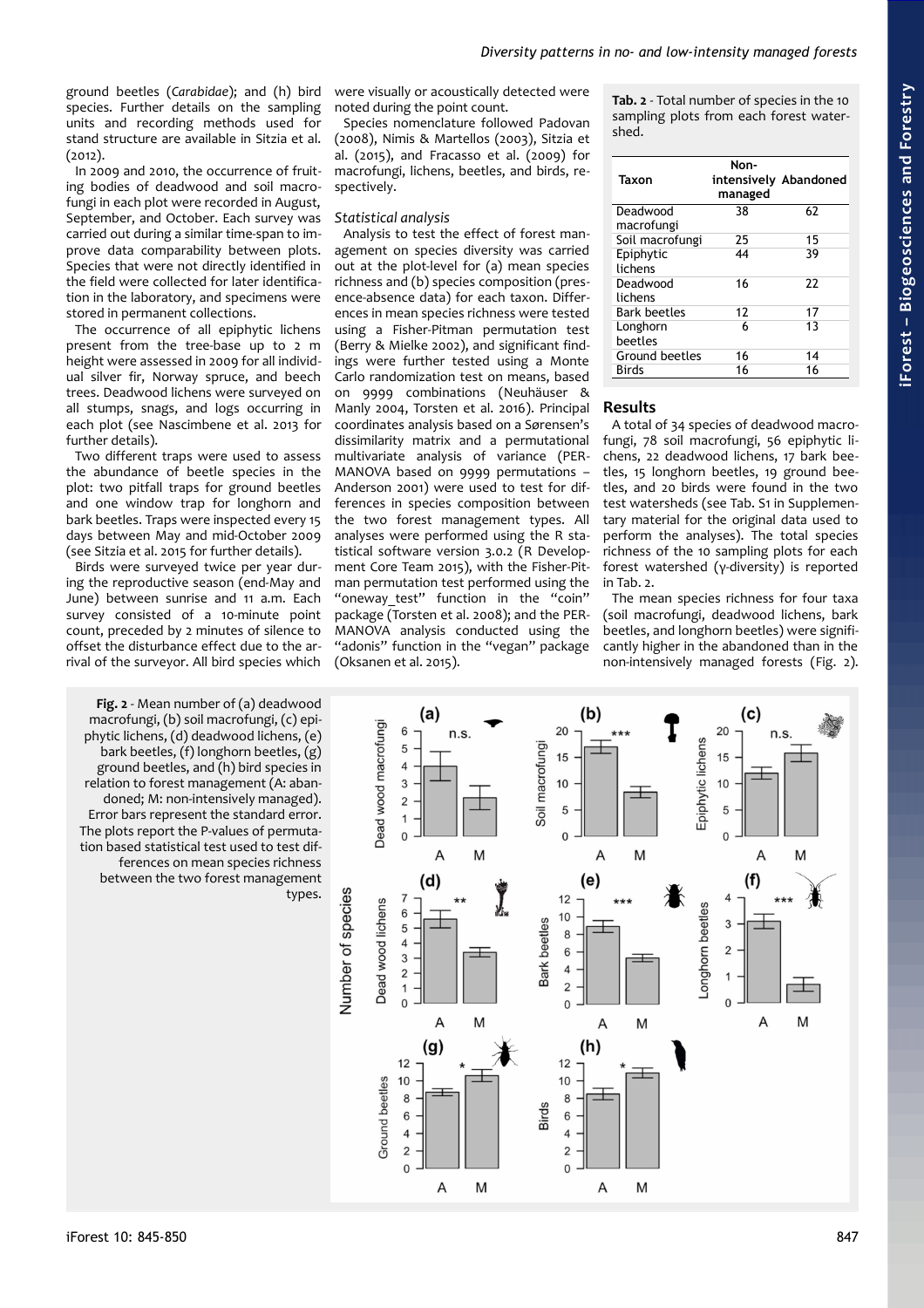ground beetles (*Carabidae*); and (h) bird species. Further details on the sampling units and recording methods used for stand structure are available in Sitzia et al. (2012).

In 2009 and 2010, the occurrence of fruiting bodies of deadwood and soil macrofungi in each plot were recorded in August, September, and October. Each survey was carried out during a similar time-span to improve data comparability between plots. Species that were not directly identified in the field were collected for later identification in the laboratory, and specimens were stored in permanent collections.

The occurrence of all epiphytic lichens present from the tree-base up to 2 m height were assessed in 2009 for all individual silver fir, Norway spruce, and beech trees. Deadwood lichens were surveyed on all stumps, snags, and logs occurring in each plot (see Nascimbene et al. 2013 for further details).

Two different traps were used to assess the abundance of beetle species in the plot: two pitfall traps for ground beetles and one window trap for longhorn and bark beetles. Traps were inspected every 15 days between May and mid-October 2009 (see Sitzia et al. 2015 for further details).

Birds were surveyed twice per year during the reproductive season (end-May and June) between sunrise and 11 a.m. Each survey consisted of a 10-minute point count, preceded by 2 minutes of silence to offset the disturbance effect due to the arrival of the surveyor. All bird species which

<span id="page-2-0"></span>**Fig. 2** - Mean number of (a) deadwood macrofungi, (b) soil macrofungi, (c) epiphytic lichens, (d) deadwood lichens, (e) bark beetles, (f) longhorn beetles, (g) ground beetles, and (h) bird species in relation to forest management (A: abandoned; M: non-intensively managed). Error bars represent the standard error. The plots report the P-values of permutation based statistical test used to test differences on mean species richness between the two forest management types.

were visually or acoustically detected were noted during the point count.

Species nomenclature followed Padovan (2008), Nimis & Martellos (2003), Sitzia et al. (2015), and Fracasso et al. (2009) for macrofungi, lichens, beetles, and birds, respectively.

#### *Statistical analysis*

Analysis to test the effect of forest management on species diversity was carried out at the plot-level for (a) mean species richness and (b) species composition (presence-absence data) for each taxon. Differences in mean species richness were tested using a Fisher-Pitman permutation test (Berry & Mielke 2002), and significant findings were further tested using a Monte Carlo randomization test on means, based on 9999 combinations (Neuhäuser & Manly 2004, Torsten et al. 2016). Principal coordinates analysis based on a Sørensen's dissimilarity matrix and a permutational multivariate analysis of variance (PER-MANOVA based on 9999 permutations – Anderson 2001) were used to test for differences in species composition between the two forest management types. All analyses were performed using the R statistical software version 3.0.2 (R Development Core Team 2015), with the Fisher-Pitman permutation test performed using the "oneway test" function in the "coin" package (Torsten et al. 2008); and the PER-MANOVA analysis conducted using the "adonis" function in the "vegan" package (Oksanen et al. 2015).

<span id="page-2-1"></span>**Tab. 2** - Total number of species in the 10 sampling plots from each forest watershed.

| Taxon               | Non-<br>managed | intensively Abandoned |
|---------------------|-----------------|-----------------------|
| Deadwood            | 38              | 62                    |
| macrofungi          |                 |                       |
| Soil macrofungi     | 25              | 15                    |
| Epiphytic           | 44              | 39                    |
| lichens             |                 |                       |
| Deadwood            | 16              | 22                    |
| lichens             |                 |                       |
| <b>Bark beetles</b> | 12              | 17                    |
| Longhorn            | 6               | 13                    |
| beetles             |                 |                       |
| Ground beetles      | 16              | 14                    |
| <b>Birds</b>        | 16              | 16                    |

### **Results**

A total of 34 species of deadwood macrofungi, 78 soil macrofungi, 56 epiphytic lichens, 22 deadwood lichens, 17 bark beetles, 15 longhorn beetles, 19 ground beetles, and 20 birds were found in the two test watersheds (see Tab. S1 in Supplementary material for the original data used to perform the analyses). The total species richness of the 10 sampling plots for each forest watershed (γ-diversity) is reported in [Tab. 2.](#page-2-1)

The mean species richness for four taxa (soil macrofungi, deadwood lichens, bark beetles, and longhorn beetles) were significantly higher in the abandoned than in the non-intensively managed forests [\(Fig. 2\)](#page-2-0).

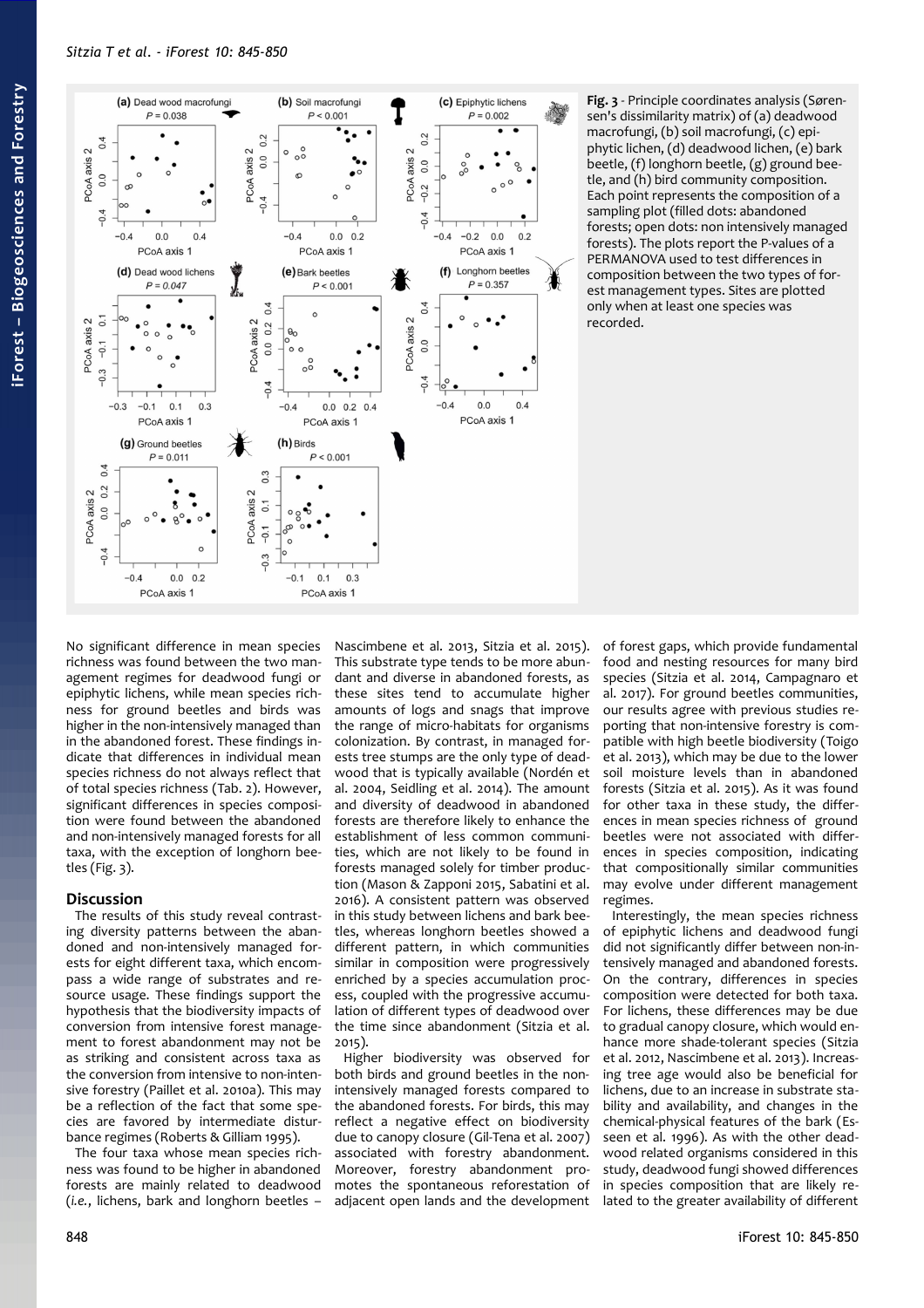

<span id="page-3-0"></span>**Fig. 3** - Principle coordinates analysis (Sørensen's dissimilarity matrix) of (a) deadwood macrofungi, (b) soil macrofungi, (c) epiphytic lichen, (d) deadwood lichen, (e) bark beetle, (f) longhorn beetle, (g) ground beetle, and (h) bird community composition. Each point represents the composition of a sampling plot (filled dots: abandoned forests; open dots: non intensively managed forests). The plots report the P-values of a PERMANOVA used to test differences in composition between the two types of forest management types. Sites are plotted only when at least one species was recorded.

No significant difference in mean species richness was found between the two management regimes for deadwood fungi or epiphytic lichens, while mean species richness for ground beetles and birds was higher in the non-intensively managed than in the abandoned forest. These findings indicate that differences in individual mean species richness do not always reflect that of total species richness [\(Tab. 2\)](#page-2-1). However, significant differences in species composition were found between the abandoned and non-intensively managed forests for all taxa, with the exception of longhorn beetles [\(Fig. 3\)](#page-3-0).

# **Discussion**

The results of this study reveal contrasting diversity patterns between the abandoned and non-intensively managed forests for eight different taxa, which encompass a wide range of substrates and resource usage. These findings support the hypothesis that the biodiversity impacts of conversion from intensive forest management to forest abandonment may not be as striking and consistent across taxa as the conversion from intensive to non-intensive forestry (Paillet et al. 2010a). This may be a reflection of the fact that some species are favored by intermediate disturbance regimes (Roberts & Gilliam 1995).

The four taxa whose mean species richness was found to be higher in abandoned forests are mainly related to deadwood (*i.e.*, lichens, bark and longhorn beetles –

Nascimbene et al. 2013, Sitzia et al. 2015). This substrate type tends to be more abundant and diverse in abandoned forests, as these sites tend to accumulate higher amounts of logs and snags that improve the range of micro-habitats for organisms colonization. By contrast, in managed forests tree stumps are the only type of deadwood that is typically available (Nordén et al. 2004, Seidling et al. 2014). The amount and diversity of deadwood in abandoned forests are therefore likely to enhance the establishment of less common communities, which are not likely to be found in forests managed solely for timber production (Mason & Zapponi 2015, Sabatini et al. 2016). A consistent pattern was observed in this study between lichens and bark beetles, whereas longhorn beetles showed a different pattern, in which communities similar in composition were progressively enriched by a species accumulation process, coupled with the progressive accumulation of different types of deadwood over the time since abandonment (Sitzia et al. 2015).

Higher biodiversity was observed for both birds and ground beetles in the nonintensively managed forests compared to the abandoned forests. For birds, this may reflect a negative effect on biodiversity due to canopy closure (Gil-Tena et al. 2007) associated with forestry abandonment. Moreover, forestry abandonment promotes the spontaneous reforestation of adjacent open lands and the development of forest gaps, which provide fundamental food and nesting resources for many bird species (Sitzia et al. 2014, Campagnaro et al. 2017). For ground beetles communities, our results agree with previous studies reporting that non-intensive forestry is compatible with high beetle biodiversity (Toigo et al. 2013), which may be due to the lower soil moisture levels than in abandoned forests (Sitzia et al. 2015). As it was found for other taxa in these study, the differences in mean species richness of ground beetles were not associated with differences in species composition, indicating that compositionally similar communities may evolve under different management regimes.

Interestingly, the mean species richness of epiphytic lichens and deadwood fungi did not significantly differ between non-intensively managed and abandoned forests. On the contrary, differences in species composition were detected for both taxa. For lichens, these differences may be due to gradual canopy closure, which would enhance more shade-tolerant species (Sitzia et al. 2012, Nascimbene et al. 2013). Increasing tree age would also be beneficial for lichens, due to an increase in substrate stability and availability, and changes in the chemical-physical features of the bark (Esseen et al. 1996). As with the other deadwood related organisms considered in this study, deadwood fungi showed differences in species composition that are likely related to the greater availability of different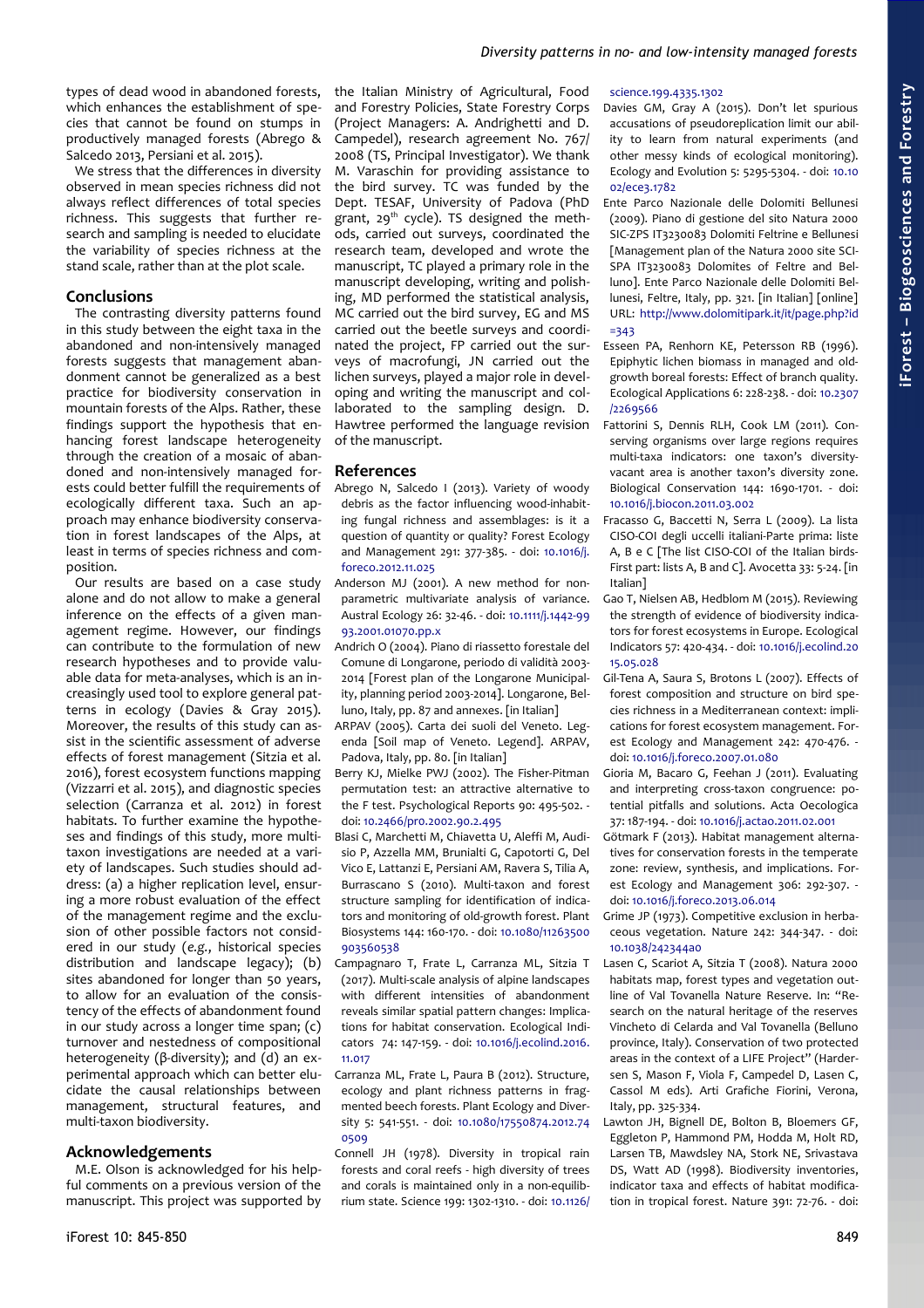types of dead wood in abandoned forests, which enhances the establishment of species that cannot be found on stumps in productively managed forests (Abrego & Salcedo 2013, Persiani et al. 2015).

We stress that the differences in diversity observed in mean species richness did not always reflect differences of total species richness. This suggests that further research and sampling is needed to elucidate the variability of species richness at the stand scale, rather than at the plot scale.

## **Conclusions**

The contrasting diversity patterns found in this study between the eight taxa in the abandoned and non-intensively managed forests suggests that management abandonment cannot be generalized as a best practice for biodiversity conservation in mountain forests of the Alps. Rather, these findings support the hypothesis that enhancing forest landscape heterogeneity through the creation of a mosaic of abandoned and non-intensively managed forests could better fulfill the requirements of ecologically different taxa. Such an approach may enhance biodiversity conservation in forest landscapes of the Alps, at least in terms of species richness and composition.

Our results are based on a case study alone and do not allow to make a general inference on the effects of a given management regime. However, our findings can contribute to the formulation of new research hypotheses and to provide valuable data for meta-analyses, which is an increasingly used tool to explore general patterns in ecology (Davies & Gray 2015). Moreover, the results of this study can assist in the scientific assessment of adverse effects of forest management (Sitzia et al. 2016), forest ecosystem functions mapping (Vizzarri et al. 2015), and diagnostic species selection (Carranza et al. 2012) in forest habitats. To further examine the hypotheses and findings of this study, more multitaxon investigations are needed at a variety of landscapes. Such studies should address: (a) a higher replication level, ensuring a more robust evaluation of the effect of the management regime and the exclusion of other possible factors not considered in our study (*e.g.*, historical species distribution and landscape legacy); (b) sites abandoned for longer than 50 years, to allow for an evaluation of the consistency of the effects of abandonment found in our study across a longer time span; (c) turnover and nestedness of compositional heterogeneity (β-diversity); and (d) an experimental approach which can better elucidate the causal relationships between management, structural features, and multi-taxon biodiversity.

## **Acknowledgements**

M.E. Olson is acknowledged for his helpful comments on a previous version of the manuscript. This project was supported by the Italian Ministry of Agricultural, Food and Forestry Policies, State Forestry Corps (Project Managers: A. Andrighetti and D. Campedel), research agreement No. 767/ 2008 (TS, Principal Investigator). We thank M. Varaschin for providing assistance to the bird survey. TC was funded by the Dept. TESAF, University of Padova (PhD grant,  $29<sup>th</sup>$  cycle). TS designed the methods, carried out surveys, coordinated the research team, developed and wrote the manuscript, TC played a primary role in the manuscript developing, writing and polishing, MD performed the statistical analysis, MC carried out the bird survey, EG and MS carried out the beetle surveys and coordinated the project, FP carried out the surveys of macrofungi, JN carried out the lichen surveys, played a major role in developing and writing the manuscript and collaborated to the sampling design. D. Hawtree performed the language revision of the manuscript.

## **References**

- Abrego N, Salcedo I (2013). Variety of woody debris as the factor influencing wood-inhabiting fungal richness and assemblages: is it a question of quantity or quality? Forest Ecology and Management 291: 377-385. - doi: [10.1016/j.](http://dx.doi.org/10.1016/j.foreco.2012.11.025) [foreco.2012.11.025](http://dx.doi.org/10.1016/j.foreco.2012.11.025)
- Anderson MJ (2001). A new method for nonparametric multivariate analysis of variance. Austral Ecology 26: 32-46. - doi: [10.1111/j.1442-99](http://dx.doi.org/10.1111/j.1442-9993.2001.01070.pp.x) [93.2001.01070.pp.x](http://dx.doi.org/10.1111/j.1442-9993.2001.01070.pp.x)
- Andrich O (2004). Piano di riassetto forestale del Comune di Longarone, periodo di validità 2003- 2014 [Forest plan of the Longarone Municipality, planning period 2003-2014]. Longarone, Belluno, Italy, pp. 87 and annexes. [in Italian]
- ARPAV (2005). Carta dei suoli del Veneto. Legenda [Soil map of Veneto. Legend]. ARPAV, Padova, Italy, pp. 80. [in Italian]
- Berry KJ, Mielke PWJ (2002). The Fisher-Pitman permutation test: an attractive alternative to the F test. Psychological Reports 90: 495-502. doi: [10.2466/pr0.2002.90.2.495](http://dx.doi.org/10.2466/pr0.2002.90.2.495)
- Blasi C, Marchetti M, Chiavetta U, Aleffi M, Audisio P, Azzella MM, Brunialti G, Capotorti G, Del Vico E, Lattanzi E, Persiani AM, Ravera S, Tilia A, Burrascano S (2010). Multi-taxon and forest structure sampling for identification of indicators and monitoring of old-growth forest. Plant Biosystems 144: 160-170. - doi: [10.1080/11263500](http://dx.doi.org/10.1080/11263500903560538) [903560538](http://dx.doi.org/10.1080/11263500903560538)
- Campagnaro T, Frate L, Carranza ML, Sitzia T (2017). Multi-scale analysis of alpine landscapes with different intensities of abandonment reveals similar spatial pattern changes: Implications for habitat conservation. Ecological Indicators 74: 147-159. - doi: [10.1016/j.ecolind.2016.](http://dx.doi.org/10.1016/j.ecolind.2016.11.017) [11.017](http://dx.doi.org/10.1016/j.ecolind.2016.11.017)
- Carranza ML, Frate L, Paura B (2012). Structure, ecology and plant richness patterns in fragmented beech forests. Plant Ecology and Diversity 5: 541-551. - doi: [10.1080/17550874.2012.74](http://dx.doi.org/10.1080/17550874.2012.740509) [0509](http://dx.doi.org/10.1080/17550874.2012.740509)

Connell JH (1978). Diversity in tropical rain forests and coral reefs - high diversity of trees and corals is maintained only in a non-equilibrium state. Science 199: 1302-1310. - doi: [10.1126/](http://dx.doi.org/10.1126/science.199.4335.1302)

#### [science.199.4335.1302](http://dx.doi.org/10.1126/science.199.4335.1302)

- Davies GM, Gray A (2015). Don't let spurious accusations of pseudoreplication limit our ability to learn from natural experiments (and other messy kinds of ecological monitoring). Ecology and Evolution 5: 5295-5304. - doi: [10.10](http://dx.doi.org/10.1002/ece3.1782) [02/ece3.1782](http://dx.doi.org/10.1002/ece3.1782)
- Ente Parco Nazionale delle Dolomiti Bellunesi (2009). Piano di gestione del sito Natura 2000 SIC-ZPS IT3230083 Dolomiti Feltrine e Bellunesi [Management plan of the Natura 2000 site SCI-SPA IT3230083 Dolomites of Feltre and Belluno]. Ente Parco Nazionale delle Dolomiti Bellunesi, Feltre, Italy, pp. 321. [in Italian] [online] URL: [http://www.dolomitipark.it/it/page.php?id](http://www.dolomitipark.it/it/page.php?id=343) [=343](http://www.dolomitipark.it/it/page.php?id=343)
- Esseen PA, Renhorn KE, Petersson RB (1996). Epiphytic lichen biomass in managed and oldgrowth boreal forests: Effect of branch quality. Ecological Applications 6: 228-238. - doi: [10.2307](http://dx.doi.org/10.2307/2269566) [/2269566](http://dx.doi.org/10.2307/2269566)
- Fattorini S, Dennis RLH, Cook LM (2011). Conserving organisms over large regions requires multi-taxa indicators: one taxon's diversityvacant area is another taxon's diversity zone. Biological Conservation 144: 1690-1701. - doi: [10.1016/j.biocon.2011.03.002](http://dx.doi.org/10.1016/j.biocon.2011.03.002)
- Fracasso G, Baccetti N, Serra L (2009). La lista CISO-COI degli uccelli italiani-Parte prima: liste A, B e C [The list CISO-COI of the Italian birds-First part: lists A, B and C]. Avocetta 33: 5-24. [in Italian]
- Gao T, Nielsen AB, Hedblom M (2015). Reviewing the strength of evidence of biodiversity indicators for forest ecosystems in Europe. Ecological Indicators 57: 420-434. - doi: [10.1016/j.ecolind.20](http://dx.doi.org/10.1016/j.ecolind.2015.05.028) [15.05.028](http://dx.doi.org/10.1016/j.ecolind.2015.05.028)
- Gil-Tena A, Saura S, Brotons L (2007). Effects of forest composition and structure on bird species richness in a Mediterranean context: implications for forest ecosystem management. Forest Ecology and Management 242: 470-476. doi: [10.1016/j.foreco.2007.01.080](http://dx.doi.org/10.1016/j.foreco.2007.01.080)
- Gioria M, Bacaro G, Feehan J (2011). Evaluating and interpreting cross-taxon congruence: potential pitfalls and solutions. Acta Oecologica 37: 187-194. - doi: [10.1016/j.actao.2011.02.001](http://dx.doi.org/10.1016/j.actao.2011.02.001)
- Götmark F (2013). Habitat management alternatives for conservation forests in the temperate zone: review, synthesis, and implications. Forest Ecology and Management 306: 292-307. doi: [10.1016/j.foreco.2013.06.014](http://dx.doi.org/10.1016/j.foreco.2013.06.014)
- Grime JP (1973). Competitive exclusion in herbaceous vegetation. Nature 242: 344-347. - doi:  $10.1038/24234$
- Lasen C, Scariot A, Sitzia T (2008). Natura 2000 habitats map, forest types and vegetation outline of Val Tovanella Nature Reserve. In: "Research on the natural heritage of the reserves Vincheto di Celarda and Val Tovanella (Belluno province, Italy). Conservation of two protected areas in the context of a LIFE Project" (Hardersen S, Mason F, Viola F, Campedel D, Lasen C, Cassol M eds). Arti Grafiche Fiorini, Verona, Italy, pp. 325-334.
- Lawton JH, Bignell DE, Bolton B, Bloemers GF, Eggleton P, Hammond PM, Hodda M, Holt RD, Larsen TB, Mawdsley NA, Stork NE, Srivastava DS, Watt AD (1998). Biodiversity inventories, indicator taxa and effects of habitat modification in tropical forest. Nature 391: 72-76. - doi: